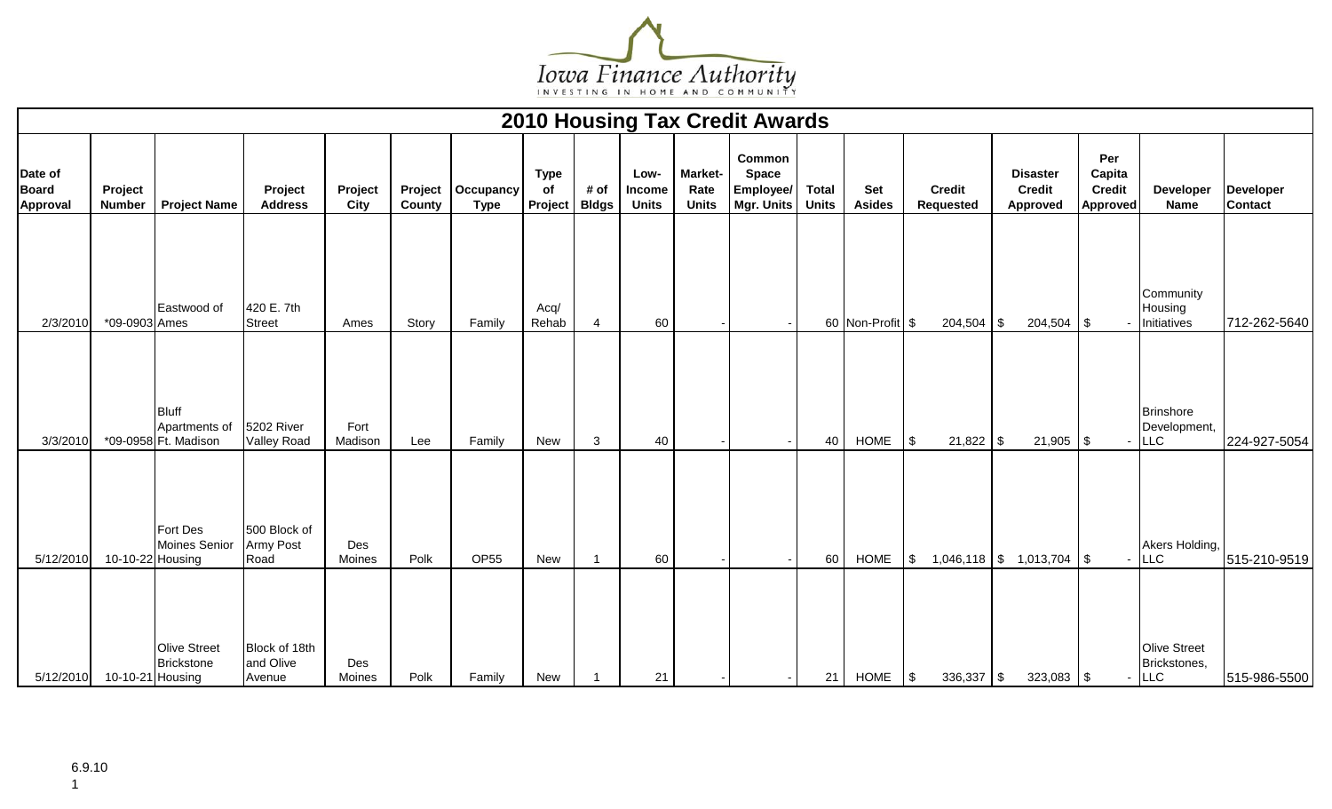

|                                            |                          |                                                       |                                      |                 |        |                                    |                              |                      |                                |                                        | <b>2010 Housing Tax Credit Awards</b>             |                              |                             |                                   |                                              |                                                   |                                            |                             |
|--------------------------------------------|--------------------------|-------------------------------------------------------|--------------------------------------|-----------------|--------|------------------------------------|------------------------------|----------------------|--------------------------------|----------------------------------------|---------------------------------------------------|------------------------------|-----------------------------|-----------------------------------|----------------------------------------------|---------------------------------------------------|--------------------------------------------|-----------------------------|
| Date of<br><b>Board</b><br><b>Approval</b> | Project<br><b>Number</b> | <b>Project Name</b>                                   | Project<br><b>Address</b>            | Project<br>City | County | Project   Occupancy<br><b>Type</b> | <b>Type</b><br>of<br>Project | # of<br><b>Bldgs</b> | Low-<br>Income<br><b>Units</b> | <b>Market-</b><br>Rate<br><b>Units</b> | Common<br><b>Space</b><br>Employee/<br>Mgr. Units | <b>Total</b><br><b>Units</b> | <b>Set</b><br><b>Asides</b> | <b>Credit</b><br><b>Requested</b> | <b>Disaster</b><br><b>Credit</b><br>Approved | Per<br>Capita<br><b>Credit</b><br><b>Approved</b> | Developer<br><b>Name</b>                   | Developer<br><b>Contact</b> |
| 2/3/2010                                   | *09-0903 Ames            | Eastwood of                                           | 420 E. 7th<br><b>Street</b>          | Ames            | Story  | Family                             | Acq/<br>Rehab                | -4                   | 60                             |                                        |                                                   |                              | 60 Non-Profit \$            | $204,504$ \$                      | $204,504$ \\$                                |                                                   | Community<br>Housing<br>Initiatives        | 712-262-5640                |
| 3/3/2010                                   |                          | <b>Bluff</b><br>Apartments of<br>*09-0958 Ft. Madison | 5202 River<br><b>Valley Road</b>     | Fort<br>Madison | Lee    | Family                             | New                          | $\mathbf{3}$         | 40                             |                                        |                                                   | 40                           | <b>HOME</b>                 | $21,822$ \$<br>\$                 | $21,905$ \\$                                 |                                                   | <b>Brinshore</b><br>Development,<br>LLC    | 224-927-5054                |
| 5/12/2010                                  | 10-10-22 Housing         | Fort Des<br>Moines Senior                             | 500 Block of<br>Army Post<br>Road    | Des<br>Moines   | Polk   | <b>OP55</b>                        | New                          |                      | 60                             |                                        |                                                   | 60                           | <b>HOME</b>                 | \$                                | $1,046,118$ \$ $1,013,704$ \$                |                                                   | Akers Holding,<br><b>LLC</b>               | 515-210-9519                |
| 5/12/2010                                  | 10-10-21 Housing         | <b>Olive Street</b><br><b>Brickstone</b>              | Block of 18th<br>and Olive<br>Avenue | Des<br>Moines   | Polk   | Family                             | New                          |                      | 21                             |                                        |                                                   | 21                           | <b>HOME</b>                 | \$<br>336,337                     | $323,083$ \$<br>l \$                         |                                                   | Olive Street<br>Brickstones,<br><b>LLC</b> | 515-986-5500                |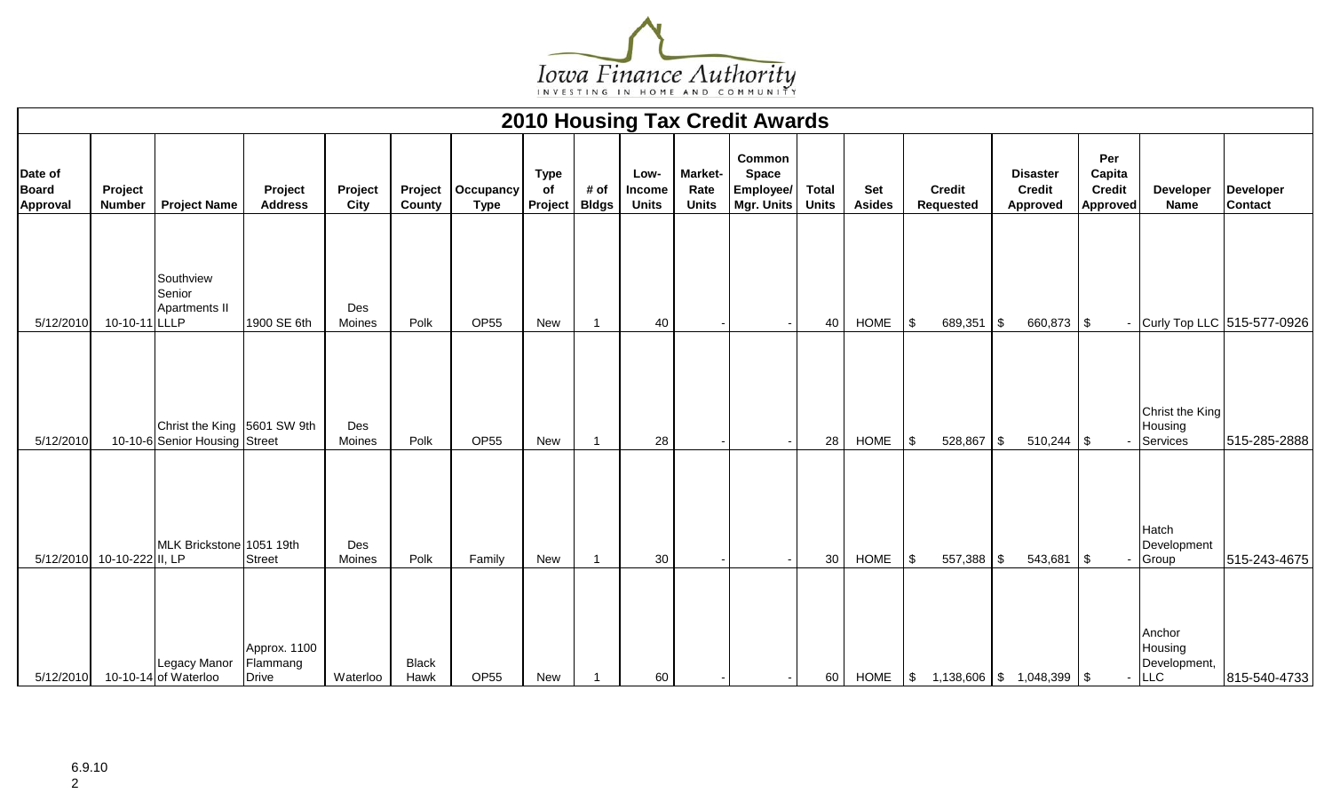

|                                            |                            |                                                              |                                          |                 |                      |                                    |                              |                      |                                |                                        | <b>2010 Housing Tax Credit Awards</b>             |                              |                      |            |                                   |            |                                              |                                                   |                                              |                                    |
|--------------------------------------------|----------------------------|--------------------------------------------------------------|------------------------------------------|-----------------|----------------------|------------------------------------|------------------------------|----------------------|--------------------------------|----------------------------------------|---------------------------------------------------|------------------------------|----------------------|------------|-----------------------------------|------------|----------------------------------------------|---------------------------------------------------|----------------------------------------------|------------------------------------|
| Date of<br><b>Board</b><br><b>Approval</b> | Project<br><b>Number</b>   | <b>Project Name</b>                                          | Project<br><b>Address</b>                | Project<br>City | County               | Project   Occupancy<br><b>Type</b> | <b>Type</b><br>of<br>Project | # of<br><b>Bldgs</b> | Low-<br>Income<br><b>Units</b> | <b>Market-</b><br>Rate<br><b>Units</b> | Common<br><b>Space</b><br>Employee/<br>Mgr. Units | <b>Total</b><br><b>Units</b> | Set<br><b>Asides</b> |            | <b>Credit</b><br><b>Requested</b> |            | <b>Disaster</b><br><b>Credit</b><br>Approved | Per<br>Capita<br><b>Credit</b><br><b>Approved</b> | <b>Developer</b><br><b>Name</b>              | <b>Developer</b><br><b>Contact</b> |
| 5/12/2010                                  | 10-10-11 LLLP              | Southview<br>Senior<br>Apartments II                         | 1900 SE 6th                              | Des<br>Moines   | Polk                 | <b>OP55</b>                        | New                          |                      | 40                             |                                        |                                                   | 40                           | <b>HOME</b>          | \$         | 689,351                           | $\sqrt{3}$ | 660,873 \$                                   |                                                   |                                              | Curly Top LLC 515-577-0926         |
| 5/12/2010                                  |                            | Christ the King 5601 SW 9th<br>10-10-6 Senior Housing Street |                                          | Des<br>Moines   | Polk                 | <b>OP55</b>                        | New                          |                      | 28                             |                                        |                                                   | 28                           | <b>HOME</b>          | -\$        | 528,867 \$                        |            | $510,244$ \\$                                |                                                   | Christ the King<br>Housing<br>Services       | 515-285-2888                       |
|                                            | 5/12/2010 10-10-222 II, LP | MLK Brickstone 1051 19th                                     | <b>Street</b>                            | Des<br>Moines   | Polk                 | Family                             | New                          | $\overline{1}$       | 30                             |                                        |                                                   | 30                           | <b>HOME</b>          | \$         | $557,388$ \\$                     |            | $543,681$ \\$                                |                                                   | Hatch<br>Development<br>Group                | 515-243-4675                       |
| 5/12/2010                                  |                            | Legacy Manor<br>10-10-14 of Waterloo                         | Approx. 1100<br>Flammang<br><b>Drive</b> | Waterloo        | <b>Black</b><br>Hawk | OP <sub>55</sub>                   | New                          |                      | 60                             |                                        |                                                   | 60                           | <b>HOME</b>          | $\sqrt{2}$ |                                   |            | $1,138,606$ \$ 1,048,399 \$                  |                                                   | Anchor<br>Housing<br>Development,<br>$-$ LLC | 815-540-4733                       |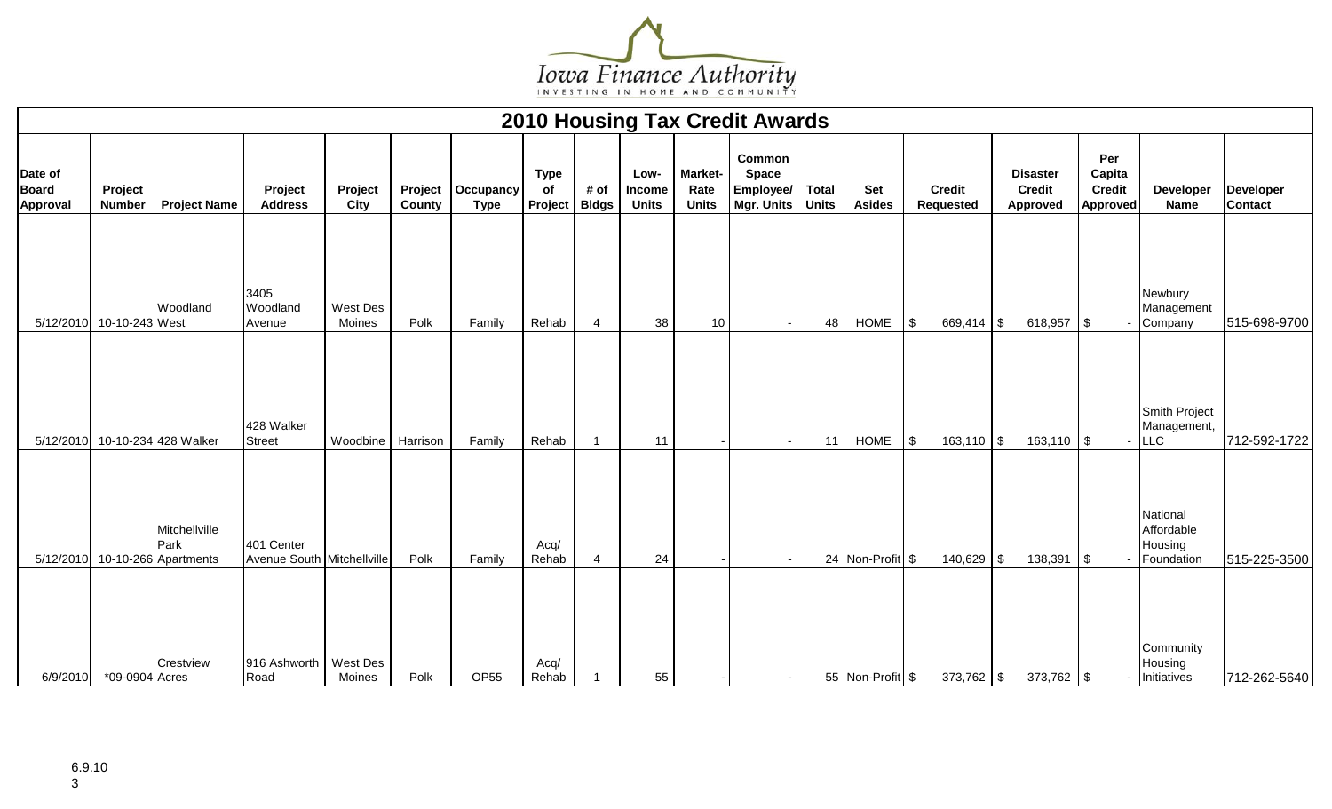

|                                            |                          |                                               |                                          |                    |        |                                    |                              |                      |                                       |                                        | <b>2010 Housing Tax Credit Awards</b>             |                              |                      |          |                               |                                              |                                                   |                                                       |                              |
|--------------------------------------------|--------------------------|-----------------------------------------------|------------------------------------------|--------------------|--------|------------------------------------|------------------------------|----------------------|---------------------------------------|----------------------------------------|---------------------------------------------------|------------------------------|----------------------|----------|-------------------------------|----------------------------------------------|---------------------------------------------------|-------------------------------------------------------|------------------------------|
| Date of<br><b>Board</b><br><b>Approval</b> | Project<br><b>Number</b> | <b>Project Name</b>                           | Project<br><b>Address</b>                | Project<br>City    | County | Project   Occupancy<br><b>Type</b> | <b>Type</b><br>of<br>Project | # of<br><b>Bldgs</b> | Low-<br><b>Income</b><br><b>Units</b> | <b>Market-</b><br>Rate<br><b>Units</b> | Common<br><b>Space</b><br>Employee/<br>Mgr. Units | <b>Total</b><br><b>Units</b> | Set<br><b>Asides</b> |          | <b>Credit</b><br>Requested    | <b>Disaster</b><br><b>Credit</b><br>Approved | Per<br>Capita<br><b>Credit</b><br><b>Approved</b> | Developer<br><b>Name</b>                              | Developer<br><b>Contact</b>  |
|                                            | 5/12/2010 10-10-243 West | Woodland                                      | 3405<br>Woodland                         | West Des<br>Moines | Polk   | Family                             |                              |                      |                                       | 10                                     |                                                   |                              | <b>HOME</b>          |          |                               | $618,957$ \$                                 |                                                   | Newbury<br>Management                                 |                              |
|                                            |                          | 5/12/2010 10-10-234 428 Walker                | Avenue<br>428 Walker<br><b>Street</b>    | Woodbine Harrison  |        | Family                             | Rehab<br>Rehab               | 4                    | 38<br>11                              |                                        |                                                   | 48<br>11                     | <b>HOME</b>          | \$<br>\$ | $669,414$ \\$<br>$163,110$ \$ | $163,110$ \$                                 |                                                   | Company<br>Smith Project<br>Management,<br><b>LLC</b> | 515-698-9700<br>712-592-1722 |
| 5/12/2010                                  |                          | Mitchellville<br>Park<br>10-10-266 Apartments | 401 Center<br>Avenue South Mitchellville |                    | Polk   | Family                             | Acq/<br>Rehab                | $\overline{4}$       | 24                                    |                                        |                                                   |                              | 24 Non-Profit \$     |          | $140,629$ \$                  | 138,391                                      | l \$                                              | National<br>Affordable<br>Housing<br>Foundation       | 515-225-3500                 |
| 6/9/2010                                   | *09-0904 Acres           | Crestview                                     | 916 Ashworth<br>Road                     | West Des<br>Moines | Polk   | OP <sub>55</sub>                   | Acq/<br>Rehab                |                      | 55                                    |                                        |                                                   |                              | 55 Non-Profit \$     |          | $373,762$ \$                  | $373,762$ \$                                 |                                                   | Community<br>Housing<br>Initiatives                   | 712-262-5640                 |